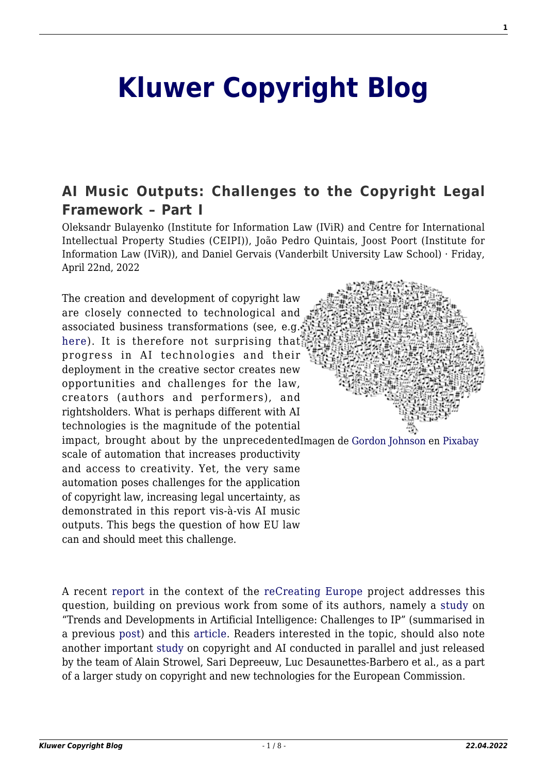## **[Kluwer Copyright Blog](http://copyrightblog.kluweriplaw.com/)**

## **[AI Music Outputs: Challenges to the Copyright Legal](http://copyrightblog.kluweriplaw.com/2022/04/22/ai-music-outputs-challenges-to-the-copyright-legal-framework-part-i/) [Framework – Part I](http://copyrightblog.kluweriplaw.com/2022/04/22/ai-music-outputs-challenges-to-the-copyright-legal-framework-part-i/)**

Oleksandr Bulayenko (Institute for Information Law (IViR) and Centre for International Intellectual Property Studies (CEIPI)), João Pedro Quintais, Joost Poort (Institute for Information Law (IViR)), and Daniel Gervais (Vanderbilt University Law School) · Friday, April 22nd, 2022

The creation and development of copyright law are closely connected to technological and associated business transformations (see, e.g. [here\)](https://pure.uva.nl/ws/files/30348832/Copyright_reconstructed_chapter2.pdf). It is therefore not surprising that progress in AI technologies and their deployment in the creative sector creates new opportunities and challenges for the law, creators (authors and performers), and rightsholders. What is perhaps different with AI technologies is the magnitude of the potential



impact, brought about by the unprecedentedImagen de [Gordon Johnson](https://pixabay.com/es/users/gdj-1086657/?utm_source=link-attribution&utm_medium=referral&utm_campaign=image&utm_content=3244110) en [Pixabay](https://pixabay.com/es/?utm_source=link-attribution&utm_medium=referral&utm_campaign=image&utm_content=3244110) scale of automation that increases productivity and access to creativity. Yet, the very same automation poses challenges for the application of copyright law, increasing legal uncertainty, as demonstrated in this report vis-à-vis AI music outputs. This begs the question of how EU law can and should meet this challenge.

A recent [report](https://zenodo.org/record/6405796#.YkrgFTWxU1J) in the context of the [reCreating Europe](https://www.recreating.eu/) project addresses this question, building on previous work from some of its authors, namely a [study](https://op.europa.eu/en/publication-detail/-/publication/394345a1-2ecf-11eb-b27b-01aa75ed71a1/language-en) on "Trends and Developments in Artificial Intelligence: Challenges to IP" (summarised in a previous [post](http://copyrightblog.kluweriplaw.com/2020/12/16/trends-and-developments-in-artificial-intelligence-challenges-to-copyright/)) and this [article.](https://link.springer.com/article/10.1007/s40319-021-01115-0) Readers interested in the topic, should also note another important [study](https://op.europa.eu/en/publication-detail/-/publication/cc293085-a4da-11ec-83e1-01aa75ed71a1/language-en) on copyright and AI conducted in parallel and just released by the team of Alain Strowel, Sari Depreeuw, Luc Desaunettes-Barbero et al., as a part of a larger study on copyright and new technologies for the European Commission.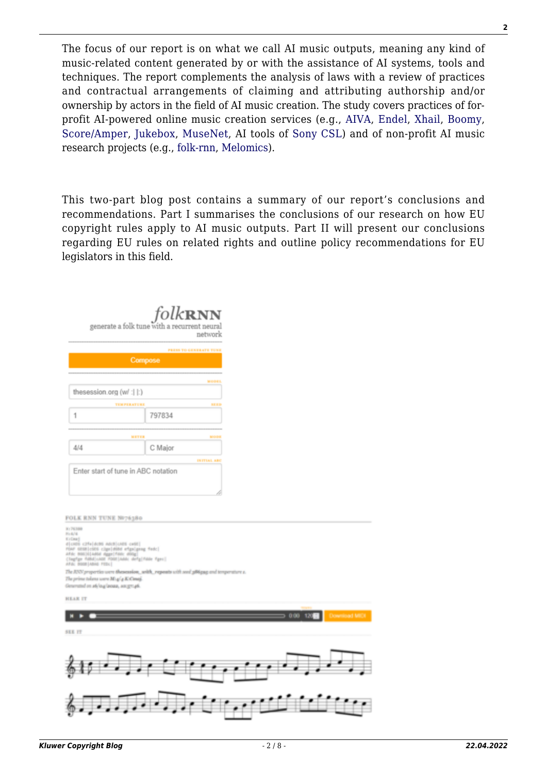The focus of our report is on what we call AI music outputs, meaning any kind of music-related content generated by or with the assistance of AI systems, tools and techniques. The report complements the analysis of laws with a review of practices and contractual arrangements of claiming and attributing authorship and/or ownership by actors in the field of AI music creation. The study covers practices of forprofit AI-powered online music creation services (e.g., [AIVA,](https://www.aiva.ai/) [Endel](https://endel.io/), [Xhail](https://xhail.com/), [Boomy](https://boomy.com/), [Score/Amper](https://www.ampermusic.com/), [Jukebox,](https://openai.com/blog/jukebox/) [MuseNet,](https://openai.com/blog/musenet/) AI tools of [Sony CSL](https://csl.sony.fr/projects-music/)) and of non-profit AI music research projects (e.g., [folk-rnn,](https://folkrnn.org/) [Melomics\)](https://www.artificia.pro/melomics/).

This two-part blog post contains a summary of our report's conclusions and recommendations. Part I summarises the conclusions of our research on how EU copyright rules apply to AI music outputs. Part II will present our conclusions regarding EU rules on related rights and outline policy recommendations for EU legislators in this field.

|                                     | folkrnn<br>generate a folk tune with a recurrent neural<br>network |
|-------------------------------------|--------------------------------------------------------------------|
|                                     | PRESS TO GENERATE TUS                                              |
| Compose                             |                                                                    |
|                                     |                                                                    |
|                                     | MOD                                                                |
| thesession.org (w/ :   :)           |                                                                    |
| <b>TEMPERATURE</b>                  |                                                                    |
|                                     | 797834                                                             |
|                                     |                                                                    |
| METER                               | MOLT                                                               |
| A/A                                 | C Major                                                            |
|                                     | IN ITIAL AB                                                        |
| Enter start of tune in ABC notation |                                                                    |
|                                     |                                                                    |

| FOLK RNN TUNE NO76380                                                                                                                                                                                                                                    |
|----------------------------------------------------------------------------------------------------------------------------------------------------------------------------------------------------------------------------------------------------------|
| <b>BY PASSED</b><br><b>PARKS</b><br><b>Kylmai</b><br>dicabi cifeldobi AndiloAlli celli!<br>roor centricies cigalistes etgalgang feed<br>Afric 8003014404 Appr Forc 400g<br>(Togfige Folke) cADE FOOT (Adds: defig) Folde Figes)<br>AFAC DOGS (ABHG FEDG) |
| The JUV properties were thesession, with, repeats with and phispap and temperature a.                                                                                                                                                                    |
| The prime tokens were Mugly RiCourt.                                                                                                                                                                                                                     |
| Generated on ads/ou/aouse, aos.grc.pli.                                                                                                                                                                                                                  |
| <b>HEAR IT</b>                                                                                                                                                                                                                                           |
| <b>The Contract</b>                                                                                                                                                                                                                                      |
| <b>Download MIDI</b><br>0.00<br>120<br>-11                                                                                                                                                                                                               |
|                                                                                                                                                                                                                                                          |
| SEE IT                                                                                                                                                                                                                                                   |
|                                                                                                                                                                                                                                                          |
|                                                                                                                                                                                                                                                          |
|                                                                                                                                                                                                                                                          |
|                                                                                                                                                                                                                                                          |
|                                                                                                                                                                                                                                                          |
|                                                                                                                                                                                                                                                          |
|                                                                                                                                                                                                                                                          |
|                                                                                                                                                                                                                                                          |
|                                                                                                                                                                                                                                                          |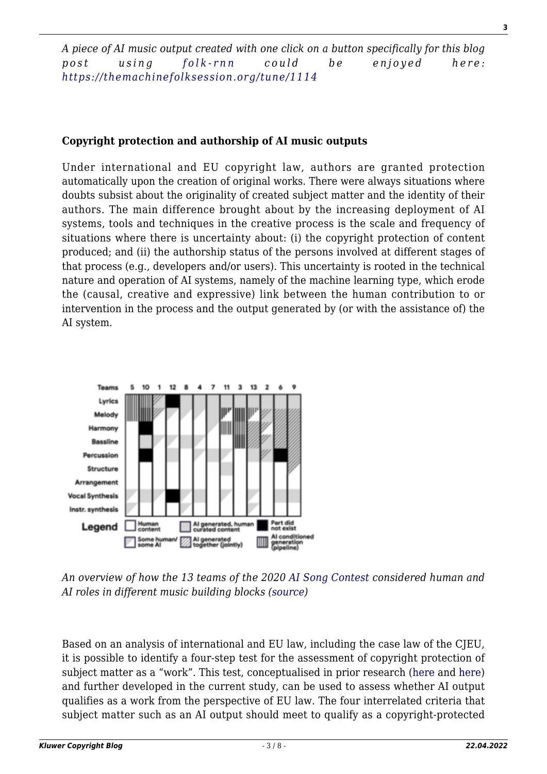*A piece of AI music output created with one click on a button specifically for this blog post using [folk-rnn](https://folkrnn.org/) could be enjoyed here: <https://themachinefolksession.org/tune/1114>*

## **Copyright protection and authorship of AI music outputs**

Under international and EU copyright law, authors are granted protection automatically upon the creation of original works. There were always situations where doubts subsist about the originality of created subject matter and the identity of their authors. The main difference brought about by the increasing deployment of AI systems, tools and techniques in the creative process is the scale and frequency of situations where there is uncertainty about: (i) the copyright protection of content produced; and (ii) the authorship status of the persons involved at different stages of that process (e.g., developers and/or users). This uncertainty is rooted in the technical nature and operation of AI systems, namely of the machine learning type, which erode the (causal, creative and expressive) link between the human contribution to or intervention in the process and the output generated by (or with the assistance of) the AI system.



*An overview of how the 13 teams of the 2020 [AI Song Contest](https://www.aisongcontest.com/) considered human and AI roles in different music building blocks [\(source](https://arxiv.org/abs/2010.05388))*

Based on an analysis of international and EU law, including the case law of the CJEU, it is possible to identify a four-step test for the assessment of copyright protection of subject matter as a "work". This test, conceptualised in prior research [\(here](https://op.europa.eu/en/publication-detail/-/publication/394345a1-2ecf-11eb-b27b-01aa75ed71a1/language-en) and [here\)](https://link.springer.com/article/10.1007/s40319-021-01115-0) and further developed in the current study, can be used to assess whether AI output qualifies as a work from the perspective of EU law. The four interrelated criteria that subject matter such as an AI output should meet to qualify as a copyright-protected **3**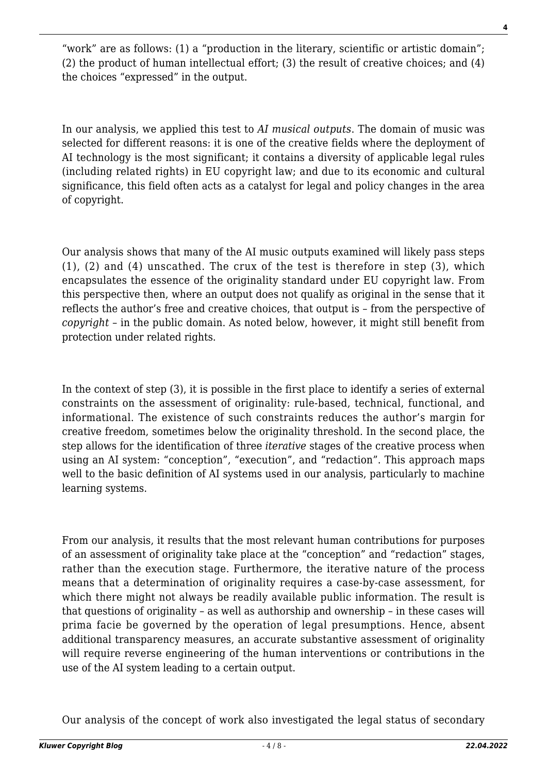"work" are as follows: (1) a "production in the literary, scientific or artistic domain"; (2) the product of human intellectual effort; (3) the result of creative choices; and (4) the choices "expressed" in the output.

In our analysis, we applied this test to *AI musical outputs*. The domain of music was selected for different reasons: it is one of the creative fields where the deployment of AI technology is the most significant; it contains a diversity of applicable legal rules (including related rights) in EU copyright law; and due to its economic and cultural significance, this field often acts as a catalyst for legal and policy changes in the area of copyright.

Our analysis shows that many of the AI music outputs examined will likely pass steps (1), (2) and (4) unscathed. The crux of the test is therefore in step (3), which encapsulates the essence of the originality standard under EU copyright law. From this perspective then, where an output does not qualify as original in the sense that it reflects the author's free and creative choices, that output is – from the perspective of *copyright* – in the public domain. As noted below, however, it might still benefit from protection under related rights.

In the context of step (3), it is possible in the first place to identify a series of external constraints on the assessment of originality: rule-based, technical, functional, and informational. The existence of such constraints reduces the author's margin for creative freedom, sometimes below the originality threshold. In the second place, the step allows for the identification of three *iterative* stages of the creative process when using an AI system: "conception", "execution", and "redaction". This approach maps well to the basic definition of AI systems used in our analysis, particularly to machine learning systems.

From our analysis, it results that the most relevant human contributions for purposes of an assessment of originality take place at the "conception" and "redaction" stages, rather than the execution stage. Furthermore, the iterative nature of the process means that a determination of originality requires a case-by-case assessment, for which there might not always be readily available public information. The result is that questions of originality – as well as authorship and ownership – in these cases will prima facie be governed by the operation of legal presumptions. Hence, absent additional transparency measures, an accurate substantive assessment of originality will require reverse engineering of the human interventions or contributions in the use of the AI system leading to a certain output.

Our analysis of the concept of work also investigated the legal status of secondary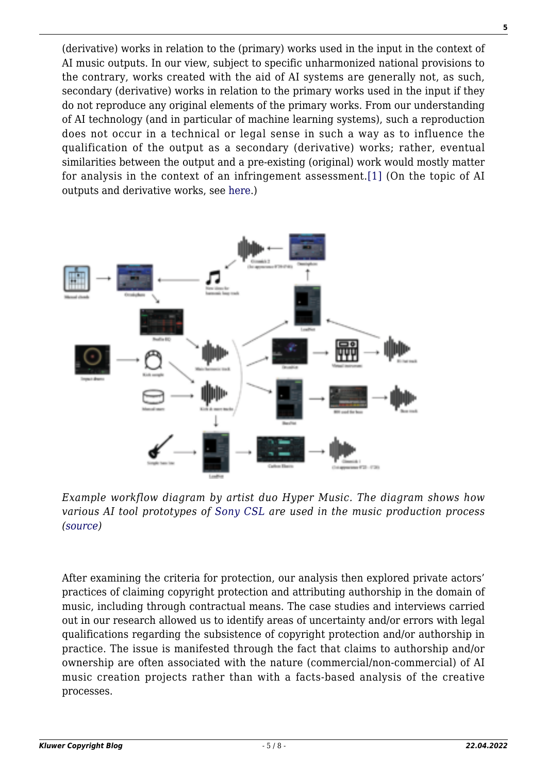(derivative) works in relation to the (primary) works used in the input in the context of AI music outputs. In our view, subject to specific unharmonized national provisions to the contrary, works created with the aid of AI systems are generally not, as such, secondary (derivative) works in relation to the primary works used in the input if they do not reproduce any original elements of the primary works. From our understanding of AI technology (and in particular of machine learning systems), such a reproduction does not occur in a technical or legal sense in such a way as to influence the qualification of the output as a secondary (derivative) works; rather, eventual similarities between the output and a pre-existing (original) work would mostly matter for analysis in the context of an infringement assessment.[\[1\]](#page--1-0) (On the topic of AI outputs and derivative works, see [here.](https://papers.ssrn.com/sol3/papers.cfm?abstract_id=4022665))



*Example workflow diagram by artist duo Hyper Music. The diagram shows how various AI tool prototypes of [Sony CSL](https://csl.sony.fr/projects-music/) are used in the music production process ([source\)](https://transactions.ismir.net/article/10.5334/tismir.100/)*

After examining the criteria for protection, our analysis then explored private actors' practices of claiming copyright protection and attributing authorship in the domain of music, including through contractual means. The case studies and interviews carried out in our research allowed us to identify areas of uncertainty and/or errors with legal qualifications regarding the subsistence of copyright protection and/or authorship in practice. The issue is manifested through the fact that claims to authorship and/or ownership are often associated with the nature (commercial/non-commercial) of AI music creation projects rather than with a facts-based analysis of the creative processes.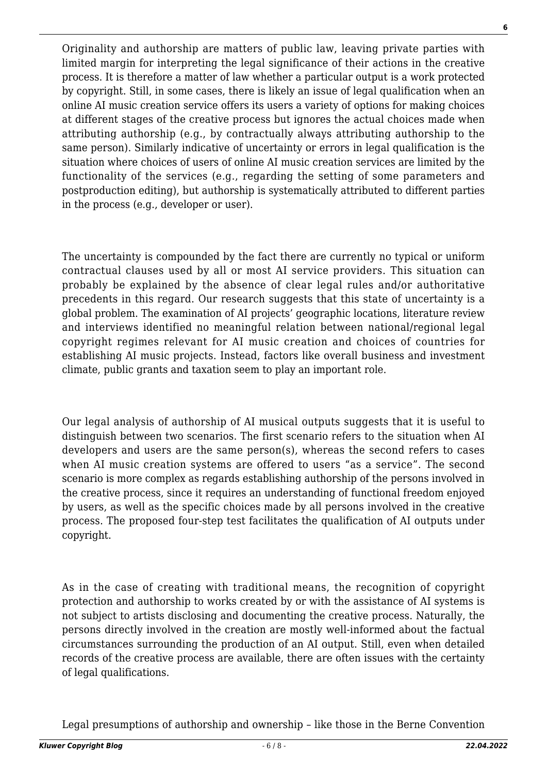Originality and authorship are matters of public law, leaving private parties with limited margin for interpreting the legal significance of their actions in the creative process. It is therefore a matter of law whether a particular output is a work protected by copyright. Still, in some cases, there is likely an issue of legal qualification when an online AI music creation service offers its users a variety of options for making choices at different stages of the creative process but ignores the actual choices made when attributing authorship (e.g., by contractually always attributing authorship to the

same person). Similarly indicative of uncertainty or errors in legal qualification is the situation where choices of users of online AI music creation services are limited by the functionality of the services (e.g., regarding the setting of some parameters and postproduction editing), but authorship is systematically attributed to different parties in the process (e.g., developer or user).

The uncertainty is compounded by the fact there are currently no typical or uniform contractual clauses used by all or most AI service providers. This situation can probably be explained by the absence of clear legal rules and/or authoritative precedents in this regard. Our research suggests that this state of uncertainty is a global problem. The examination of AI projects' geographic locations, literature review and interviews identified no meaningful relation between national/regional legal copyright regimes relevant for AI music creation and choices of countries for establishing AI music projects. Instead, factors like overall business and investment climate, public grants and taxation seem to play an important role.

Our legal analysis of authorship of AI musical outputs suggests that it is useful to distinguish between two scenarios. The first scenario refers to the situation when AI developers and users are the same person(s), whereas the second refers to cases when AI music creation systems are offered to users "as a service". The second scenario is more complex as regards establishing authorship of the persons involved in the creative process, since it requires an understanding of functional freedom enjoyed by users, as well as the specific choices made by all persons involved in the creative process. The proposed four-step test facilitates the qualification of AI outputs under copyright.

As in the case of creating with traditional means, the recognition of copyright protection and authorship to works created by or with the assistance of AI systems is not subject to artists disclosing and documenting the creative process. Naturally, the persons directly involved in the creation are mostly well-informed about the factual circumstances surrounding the production of an AI output. Still, even when detailed records of the creative process are available, there are often issues with the certainty of legal qualifications.

Legal presumptions of authorship and ownership – like those in the Berne Convention

**6**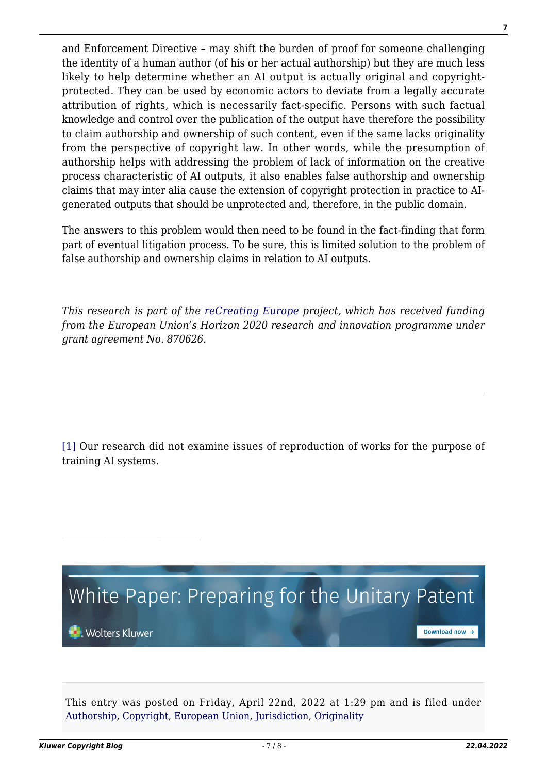and Enforcement Directive – may shift the burden of proof for someone challenging the identity of a human author (of his or her actual authorship) but they are much less likely to help determine whether an AI output is actually original and copyrightprotected. They can be used by economic actors to deviate from a legally accurate attribution of rights, which is necessarily fact-specific. Persons with such factual knowledge and control over the publication of the output have therefore the possibility to claim authorship and ownership of such content, even if the same lacks originality from the perspective of copyright law. In other words, while the presumption of authorship helps with addressing the problem of lack of information on the creative process characteristic of AI outputs, it also enables false authorship and ownership claims that may inter alia cause the extension of copyright protection in practice to AIgenerated outputs that should be unprotected and, therefore, in the public domain.

The answers to this problem would then need to be found in the fact-finding that form part of eventual litigation process. To be sure, this is limited solution to the problem of false authorship and ownership claims in relation to AI outputs.

*This research is part of the [reCreating Europe](https://www.recreating.eu/) project, which has received funding from the European Union's Horizon 2020 research and innovation programme under grant agreement No. 870626.*

[\[1\]](#page--1-0) Our research did not examine issues of reproduction of works for the purpose of training AI systems.



This entry was posted on Friday, April 22nd, 2022 at 1:29 pm and is filed under [Authorship](http://copyrightblog.kluweriplaw.com/category/authorship/), [Copyright](http://copyrightblog.kluweriplaw.com/category/copyright/), [European Union,](http://copyrightblog.kluweriplaw.com/category/jurisdiction-2/european-union/) [Jurisdiction,](http://copyrightblog.kluweriplaw.com/category/jurisdiction-2/) [Originality](http://copyrightblog.kluweriplaw.com/category/originality/)

**7**